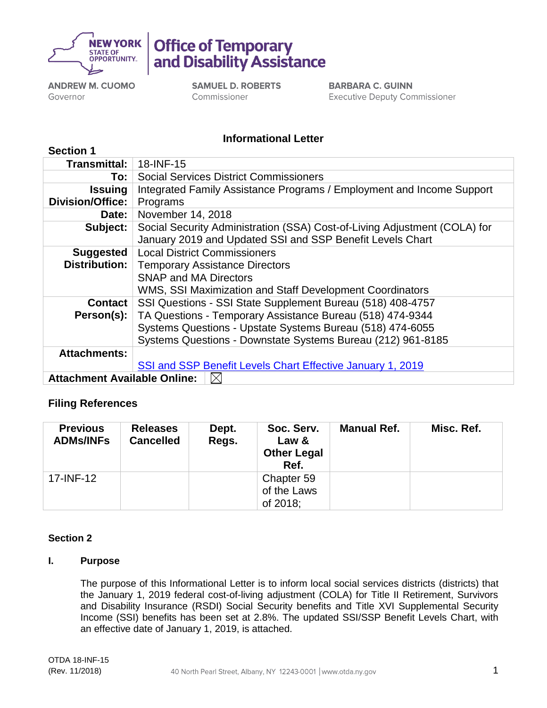

Office of Temporary and Disability Assistance

**ANDREW M. CUOMO** Governor

**SAMUEL D. ROBERTS** Commissioner

**BARBARA C. GUINN Executive Deputy Commissioner** 

# **Informational Letter**

| <b>Section 1</b>                          |                                                                           |  |  |  |  |
|-------------------------------------------|---------------------------------------------------------------------------|--|--|--|--|
| Transmittal:                              | 18-INF-15                                                                 |  |  |  |  |
| To:                                       | <b>Social Services District Commissioners</b>                             |  |  |  |  |
| <b>Issuing</b>                            | Integrated Family Assistance Programs / Employment and Income Support     |  |  |  |  |
| <b>Division/Office:</b>                   | Programs                                                                  |  |  |  |  |
| <b>Date:</b>                              | November 14, 2018                                                         |  |  |  |  |
| Subject:                                  | Social Security Administration (SSA) Cost-of-Living Adjustment (COLA) for |  |  |  |  |
|                                           | January 2019 and Updated SSI and SSP Benefit Levels Chart                 |  |  |  |  |
| <b>Suggested</b>                          | <b>Local District Commissioners</b>                                       |  |  |  |  |
| <b>Distribution:</b>                      | <b>Temporary Assistance Directors</b>                                     |  |  |  |  |
|                                           | <b>SNAP and MA Directors</b>                                              |  |  |  |  |
|                                           | WMS, SSI Maximization and Staff Development Coordinators                  |  |  |  |  |
| <b>Contact</b>                            | SSI Questions - SSI State Supplement Bureau (518) 408-4757                |  |  |  |  |
| Person(s):                                | TA Questions - Temporary Assistance Bureau (518) 474-9344                 |  |  |  |  |
|                                           | Systems Questions - Upstate Systems Bureau (518) 474-6055                 |  |  |  |  |
|                                           | Systems Questions - Downstate Systems Bureau (212) 961-8185               |  |  |  |  |
| <b>Attachments:</b>                       |                                                                           |  |  |  |  |
|                                           | SSI and SSP Benefit Levels Chart Effective January 1, 2019                |  |  |  |  |
| <b>Attachment Available Online:</b><br>IX |                                                                           |  |  |  |  |

# **Filing References**

| <b>Previous</b><br><b>ADMs/INFs</b> | <b>Releases</b><br><b>Cancelled</b> | Dept.<br>Regs. | Soc. Serv.<br>Law &<br><b>Other Legal</b><br>Ref. | <b>Manual Ref.</b> | Misc. Ref. |
|-------------------------------------|-------------------------------------|----------------|---------------------------------------------------|--------------------|------------|
| 17-INF-12                           |                                     |                | Chapter 59<br>of the Laws<br>of 2018;             |                    |            |

### **Section 2**

# **I. Purpose**

The purpose of this Informational Letter is to inform local social services districts (districts) that the January 1, 2019 federal cost-of-living adjustment (COLA) for Title II Retirement, Survivors and Disability Insurance (RSDI) Social Security benefits and Title XVI Supplemental Security Income (SSI) benefits has been set at 2.8%. The updated SSI/SSP Benefit Levels Chart, with an effective date of January 1, 2019, is attached.